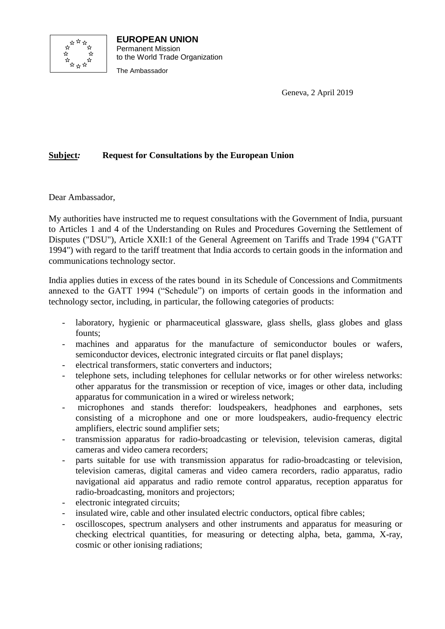

**EUROPEAN UNION** Permanent Mission to the World Trade Organization The Ambassador

Geneva, 2 April 2019

## **Subject***:* **Request for Consultations by the European Union**

Dear Ambassador,

My authorities have instructed me to request consultations with the Government of India, pursuant to Articles 1 and 4 of the Understanding on Rules and Procedures Governing the Settlement of Disputes ("DSU"), Article XXII:1 of the General Agreement on Tariffs and Trade 1994 ("GATT 1994") with regard to the tariff treatment that India accords to certain goods in the information and communications technology sector.

India applies duties in excess of the rates bound in its Schedule of Concessions and Commitments annexed to the GATT 1994 ("Schedule") on imports of certain goods in the information and technology sector, including, in particular, the following categories of products:

- laboratory, hygienic or pharmaceutical glassware, glass shells, glass globes and glass founts;
- machines and apparatus for the manufacture of semiconductor boules or wafers, semiconductor devices, electronic integrated circuits or flat panel displays;
- electrical transformers, static converters and inductors;
- telephone sets, including telephones for cellular networks or for other wireless networks: other apparatus for the transmission or reception of vice, images or other data, including apparatus for communication in a wired or wireless network;
- microphones and stands therefor: loudspeakers, headphones and earphones, sets consisting of a microphone and one or more loudspeakers, audio-frequency electric amplifiers, electric sound amplifier sets;
- transmission apparatus for radio-broadcasting or television, television cameras, digital cameras and video camera recorders;
- parts suitable for use with transmission apparatus for radio-broadcasting or television, television cameras, digital cameras and video camera recorders, radio apparatus, radio navigational aid apparatus and radio remote control apparatus, reception apparatus for radio-broadcasting, monitors and projectors;
- electronic integrated circuits;
- insulated wire, cable and other insulated electric conductors, optical fibre cables;
- oscilloscopes, spectrum analysers and other instruments and apparatus for measuring or checking electrical quantities, for measuring or detecting alpha, beta, gamma, X-ray, cosmic or other ionising radiations;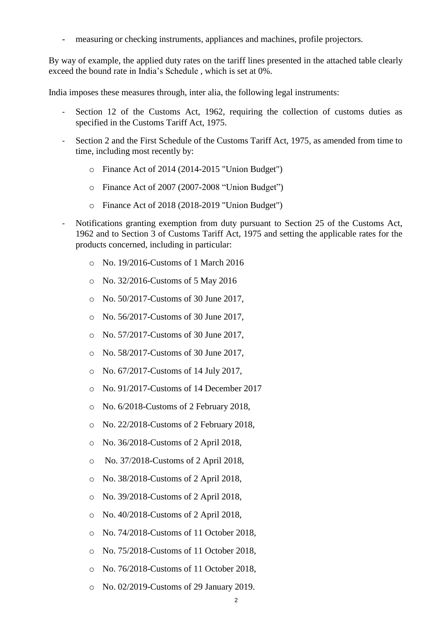measuring or checking instruments, appliances and machines, profile projectors.

By way of example, the applied duty rates on the tariff lines presented in the attached table clearly exceed the bound rate in India's Schedule , which is set at 0%.

India imposes these measures through, inter alia, the following legal instruments:

- Section 12 of the Customs Act, 1962, requiring the collection of customs duties as specified in the Customs Tariff Act, 1975.
- Section 2 and the First Schedule of the Customs Tariff Act, 1975, as amended from time to time, including most recently by:
	- o Finance Act of 2014 (2014-2015 "Union Budget")
	- o Finance Act of 2007 (2007-2008 "Union Budget")
	- o Finance Act of 2018 (2018-2019 "Union Budget")
- Notifications granting exemption from duty pursuant to Section 25 of the Customs Act, 1962 and to Section 3 of Customs Tariff Act, 1975 and setting the applicable rates for the products concerned, including in particular:
	- o No. 19/2016-Customs of 1 March 2016
	- o No. 32/2016-Customs of 5 May 2016
	- o No. 50/2017-Customs of 30 June 2017,
	- o No. 56/2017-Customs of 30 June 2017,
	- o No. 57/2017-Customs of 30 June 2017,
	- o No. 58/2017-Customs of 30 June 2017,
	- o No. 67/2017-Customs of 14 July 2017,
	- o No. 91/2017-Customs of 14 December 2017
	- o No. 6/2018-Customs of 2 February 2018,
	- o No. 22/2018-Customs of 2 February 2018,
	- o No. 36/2018-Customs of 2 April 2018,
	- o No. 37/2018-Customs of 2 April 2018,
	- o No. 38/2018-Customs of 2 April 2018,
	- o No. 39/2018-Customs of 2 April 2018,
	- o No. 40/2018-Customs of 2 April 2018,
	- o No. 74/2018-Customs of 11 October 2018,
	- o No. 75/2018-Customs of 11 October 2018,
	- o No. 76/2018-Customs of 11 October 2018,
	- o No. 02/2019-Customs of 29 January 2019.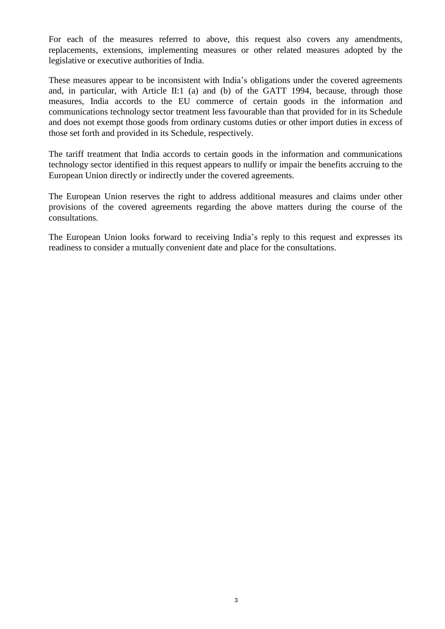For each of the measures referred to above, this request also covers any amendments, replacements, extensions, implementing measures or other related measures adopted by the legislative or executive authorities of India.

These measures appear to be inconsistent with India's obligations under the covered agreements and, in particular, with Article II:1 (a) and (b) of the GATT 1994, because, through those measures, India accords to the EU commerce of certain goods in the information and communications technology sector treatment less favourable than that provided for in its Schedule and does not exempt those goods from ordinary customs duties or other import duties in excess of those set forth and provided in its Schedule, respectively.

The tariff treatment that India accords to certain goods in the information and communications technology sector identified in this request appears to nullify or impair the benefits accruing to the European Union directly or indirectly under the covered agreements.

The European Union reserves the right to address additional measures and claims under other provisions of the covered agreements regarding the above matters during the course of the consultations.

The European Union looks forward to receiving India's reply to this request and expresses its readiness to consider a mutually convenient date and place for the consultations.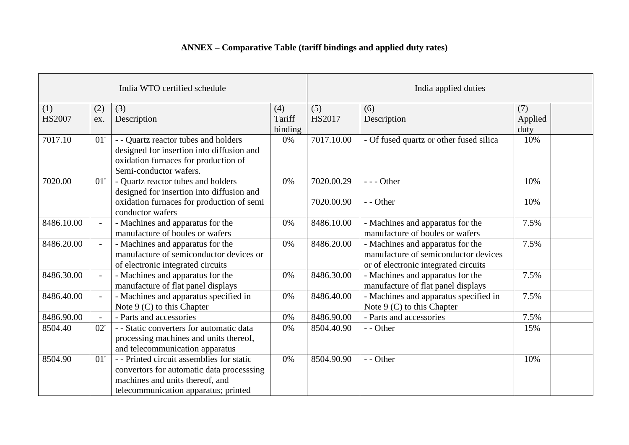## **ANNEX – Comparative Table (tariff bindings and applied duty rates)**

| India WTO certified schedule |                          |                                                                                                                                                                  | India applied duties     |                          |                                                                                                                  |                        |
|------------------------------|--------------------------|------------------------------------------------------------------------------------------------------------------------------------------------------------------|--------------------------|--------------------------|------------------------------------------------------------------------------------------------------------------|------------------------|
| (1)<br><b>HS2007</b>         | (2)<br>ex.               | (3)<br>Description                                                                                                                                               | (4)<br>Tariff<br>binding | (5)<br>HS2017            | (6)<br>Description                                                                                               | (7)<br>Applied<br>duty |
| 7017.10                      | 01'                      | - - Quartz reactor tubes and holders<br>designed for insertion into diffusion and<br>oxidation furnaces for production of<br>Semi-conductor wafers.              | 0%                       | 7017.10.00               | - Of fused quartz or other fused silica                                                                          | 10%                    |
| 7020.00                      | 01'                      | - Quartz reactor tubes and holders<br>designed for insertion into diffusion and<br>oxidation furnaces for production of semi<br>conductor wafers                 | 0%                       | 7020.00.29<br>7020.00.90 | $--$ Other<br>- - Other                                                                                          | 10%<br>10%             |
| 8486.10.00                   | $\overline{\phantom{0}}$ | - Machines and apparatus for the<br>manufacture of boules or wafers                                                                                              | 0%                       | 8486.10.00               | - Machines and apparatus for the<br>manufacture of boules or wafers                                              | 7.5%                   |
| 8486.20.00                   | $\overline{a}$           | - Machines and apparatus for the<br>manufacture of semiconductor devices or<br>of electronic integrated circuits                                                 | 0%                       | 8486.20.00               | - Machines and apparatus for the<br>manufacture of semiconductor devices<br>or of electronic integrated circuits | 7.5%                   |
| 8486.30.00                   | $\overline{a}$           | - Machines and apparatus for the<br>manufacture of flat panel displays                                                                                           | 0%                       | 8486.30.00               | - Machines and apparatus for the<br>manufacture of flat panel displays                                           | 7.5%                   |
| 8486.40.00                   | $\overline{a}$           | - Machines and apparatus specified in<br>Note $9$ (C) to this Chapter                                                                                            | 0%                       | 8486.40.00               | - Machines and apparatus specified in<br>Note 9 (C) to this Chapter                                              | 7.5%                   |
| 8486.90.00                   | $\sim$                   | - Parts and accessories                                                                                                                                          | 0%                       | 8486.90.00               | - Parts and accessories                                                                                          | 7.5%                   |
| 8504.40                      | 02'                      | - - Static converters for automatic data<br>processing machines and units thereof,<br>and telecommunication apparatus                                            | 0%                       | 8504.40.90               | - - Other                                                                                                        | 15%                    |
| 8504.90                      | 01'                      | -- Printed circuit assemblies for static<br>convertors for automatic data processsing<br>machines and units thereof, and<br>telecommunication apparatus; printed | 0%                       | 8504.90.90               | - - Other                                                                                                        | 10%                    |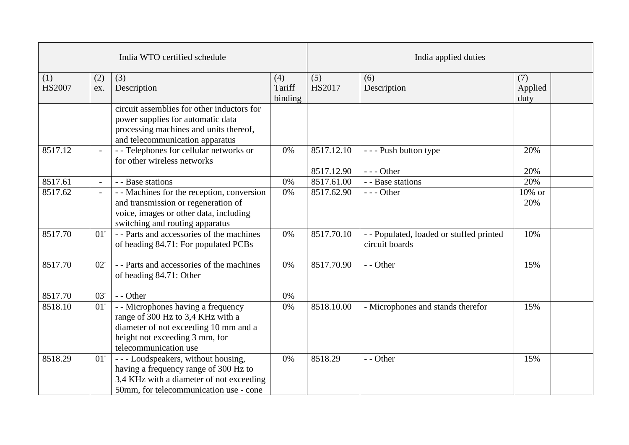| India WTO certified schedule |                          |                                                                                                                                                                             | India applied duties     |                          |                                                            |                        |  |
|------------------------------|--------------------------|-----------------------------------------------------------------------------------------------------------------------------------------------------------------------------|--------------------------|--------------------------|------------------------------------------------------------|------------------------|--|
| (1)<br><b>HS2007</b>         | (2)<br>ex.               | (3)<br>Description                                                                                                                                                          | (4)<br>Tariff<br>binding | (5)<br><b>HS2017</b>     | (6)<br>Description                                         | (7)<br>Applied<br>duty |  |
|                              |                          | circuit assemblies for other inductors for<br>power supplies for automatic data<br>processing machines and units thereof,<br>and telecommunication apparatus                |                          |                          |                                                            |                        |  |
| 8517.12                      | $\blacksquare$           | - - Telephones for cellular networks or<br>for other wireless networks                                                                                                      | 0%                       | 8517.12.10<br>8517.12.90 | - - - Push button type<br>$--$ Other                       | 20%<br>20%             |  |
| 8517.61                      | $\overline{\phantom{a}}$ | - - Base stations                                                                                                                                                           | 0%                       | 8517.61.00               | - - Base stations                                          | 20%                    |  |
| 8517.62                      |                          | - - Machines for the reception, conversion<br>and transmission or regeneration of<br>voice, images or other data, including<br>switching and routing apparatus              | 0%                       | 8517.62.90               | $--$ Other                                                 | 10% or<br>20%          |  |
| 8517.70                      | 01'                      | - - Parts and accessories of the machines<br>of heading 84.71: For populated PCBs                                                                                           | 0%                       | 8517.70.10               | - - Populated, loaded or stuffed printed<br>circuit boards | 10%                    |  |
| 8517.70                      | 02'                      | - - Parts and accessories of the machines<br>of heading 84.71: Other                                                                                                        | 0%                       | 8517.70.90               | - - Other                                                  | 15%                    |  |
| 8517.70                      | 03'                      | $-$ - Other                                                                                                                                                                 | 0%                       |                          |                                                            |                        |  |
| 8518.10                      | 01'                      | - - Microphones having a frequency<br>range of 300 Hz to 3,4 KHz with a<br>diameter of not exceeding 10 mm and a<br>height not exceeding 3 mm, for<br>telecommunication use | 0%                       | 8518.10.00               | - Microphones and stands therefor                          | 15%                    |  |
| 8518.29                      | 01'                      | --- Loudspeakers, without housing,<br>having a frequency range of 300 Hz to<br>3,4 KHz with a diameter of not exceeding<br>50mm, for telecommunication use - cone           | 0%                       | 8518.29                  | - - Other                                                  | 15%                    |  |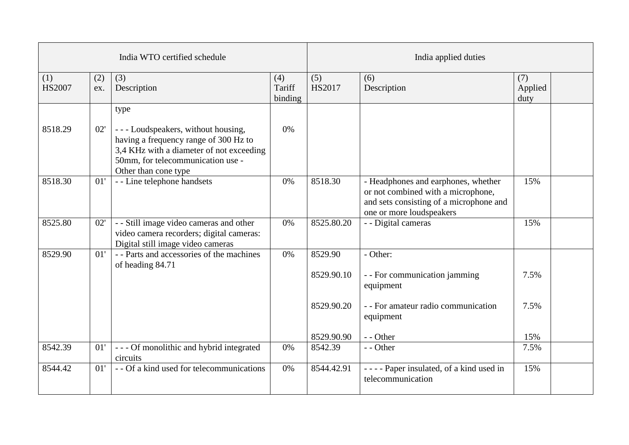| India WTO certified schedule |            |                                                                                                                                                                                      | India applied duties     |                      |                                                                                                                                                  |                        |  |
|------------------------------|------------|--------------------------------------------------------------------------------------------------------------------------------------------------------------------------------------|--------------------------|----------------------|--------------------------------------------------------------------------------------------------------------------------------------------------|------------------------|--|
| (1)<br><b>HS2007</b>         | (2)<br>ex. | (3)<br>Description                                                                                                                                                                   | (4)<br>Tariff<br>binding | (5)<br><b>HS2017</b> | (6)<br>Description                                                                                                                               | (7)<br>Applied<br>duty |  |
|                              |            | type                                                                                                                                                                                 |                          |                      |                                                                                                                                                  |                        |  |
| 8518.29                      | 02'        | --- Loudspeakers, without housing,<br>having a frequency range of 300 Hz to<br>3,4 KHz with a diameter of not exceeding<br>50mm, for telecommunication use -<br>Other than cone type | 0%                       |                      |                                                                                                                                                  |                        |  |
| 8518.30                      | 01'        | - - Line telephone handsets                                                                                                                                                          | 0%                       | 8518.30              | - Headphones and earphones, whether<br>or not combined with a microphone,<br>and sets consisting of a microphone and<br>one or more loudspeakers | 15%                    |  |
| 8525.80                      | 02'        | - - Still image video cameras and other<br>video camera recorders; digital cameras:<br>Digital still image video cameras                                                             | 0%                       | 8525.80.20           | - - Digital cameras                                                                                                                              | 15%                    |  |
| 8529.90                      | 01'        | - - Parts and accessories of the machines<br>of heading 84.71                                                                                                                        | 0%                       | 8529.90              | - Other:                                                                                                                                         |                        |  |
|                              |            |                                                                                                                                                                                      |                          | 8529.90.10           | - - For communication jamming<br>equipment                                                                                                       | 7.5%                   |  |
|                              |            |                                                                                                                                                                                      |                          | 8529.90.20           | - - For amateur radio communication<br>equipment                                                                                                 | 7.5%                   |  |
|                              |            |                                                                                                                                                                                      |                          | 8529.90.90           | - - Other                                                                                                                                        | 15%                    |  |
| 8542.39                      | 01'        | --- Of monolithic and hybrid integrated<br>circuits                                                                                                                                  | 0%                       | 8542.39              | - - Other                                                                                                                                        | 7.5%                   |  |
| 8544.42                      | 01'        | - - Of a kind used for telecommunications                                                                                                                                            | 0%                       | 8544.42.91           | ---- Paper insulated, of a kind used in<br>telecommunication                                                                                     | 15%                    |  |